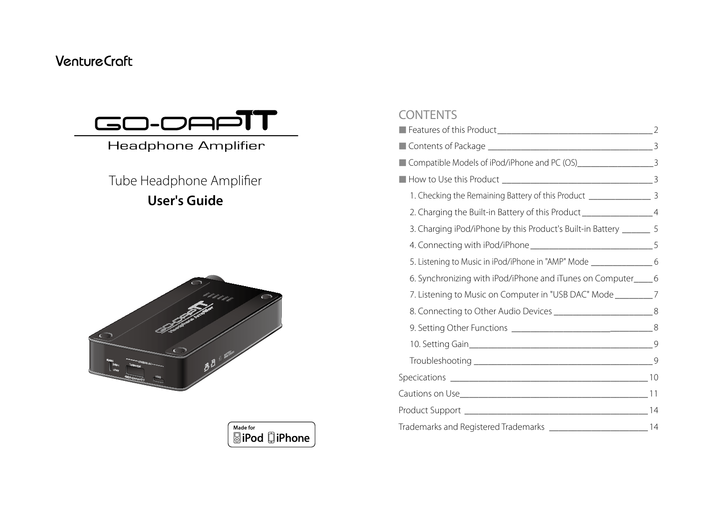## **VentureCraft**



## Headphone Amplifier

**User's Guide** Tube Headphone Amplifier





#### **CONTENTS**

| Compatible Models of iPod/iPhone and PC (OS)___________________________________3 |  |
|----------------------------------------------------------------------------------|--|
|                                                                                  |  |
| 1. Checking the Remaining Battery of this Product ____________________ 3         |  |
| 2. Charging the Built-in Battery of this Product __________________________4     |  |
| 3. Charging iPod/iPhone by this Product's Built-in Battery _______ 5             |  |
|                                                                                  |  |
| 5. Listening to Music in iPod/iPhone in "AMP" Mode ______________________ 6      |  |
| 6. Synchronizing with iPod/iPhone and iTunes on Computer____6                    |  |
| 7. Listening to Music on Computer in "USB DAC" Mode _________7                   |  |
|                                                                                  |  |
|                                                                                  |  |
|                                                                                  |  |
|                                                                                  |  |
|                                                                                  |  |
|                                                                                  |  |
|                                                                                  |  |
| Trademarks and Registered Trademarks _________________________________14         |  |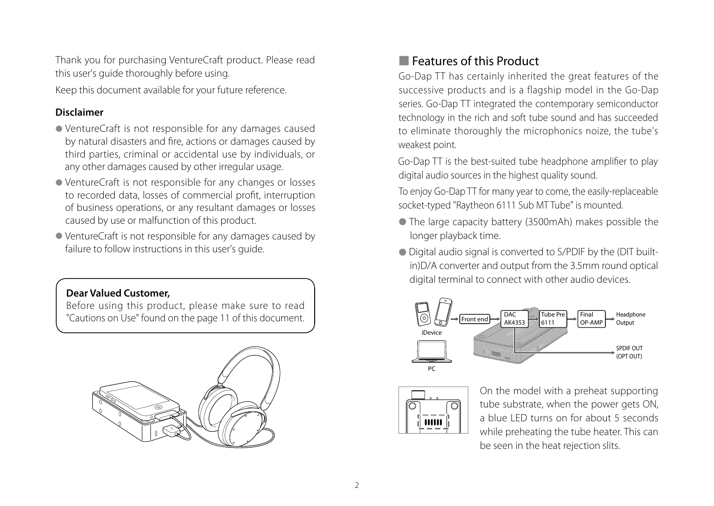Thank you for purchasing VentureCraft product. Please read this user's guide thoroughly before using. Keep this document available for your future reference.

#### **Disclaimer**

- VentureCraft is not responsible for any damages caused by natural disasters and fire, actions or damages caused by third parties, criminal or accidental use by individuals, or any other damages caused by other irregular usage.
- VentureCraft is not responsible for any changes or losses to recorded data, losses of commercial profit, interruption of business operations, or any resultant damages or losses caused by use or malfunction of this product.
- VentureCraft is not responsible for any damages caused by failure to follow instructions in this user's guide.

#### **Dear Valued Customer,**

Before using this product, please make sure to read "Cautions on Use" found on the page 11 of this document.



## ■ Features of this Product

Go-Dap TT has certainly inherited the great features of the successive products and is a flagship model in the Go-Dap series. Go-Dap TT integrated the contemporary semiconductor technology in the rich and soft tube sound and has succeeded to eliminate thoroughly the microphonics noize, the tube's weakest point.

Go-Dap TT is the best-suited tube headphone amplifier to play digital audio sources in the highest quality sound.

To enjoy Go-Dap TT for many year to come, the easily-replaceable socket-typed "Raytheon 6111 Sub MT Tube" is mounted.

- The large capacity battery (3500mAh) makes possible the longer playback time.
- Digital audio signal is converted to S/PDIF by the (DIT builtin)D/A converter and output from the 3.5mm round optical digital terminal to connect with other audio devices.





On the model with a preheat supporting tube substrate, when the power gets ON, a blue LED turns on for about 5 seconds while preheating the tube heater. This can be seen in the heat rejection slits.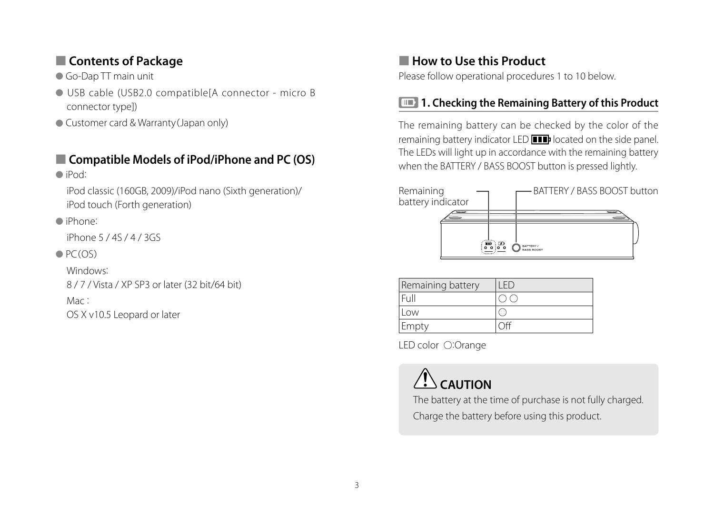## ■ **Contents of Package**

● Go-Dap TT main unit

- USB cable (USB2.0 compatible[A connector micro B connector type])
- Customer card & Warranty (Japan only)

## ■ **Compatible Models of iPod/iPhone and PC (OS)**

#### ● iPod:

iPod classic (160GB, 2009)/iPod nano (Sixth generation)/ iPod touch (Forth generation)

### ● iPhone:

iPhone 5 / 4S / 4 / 3GS

## $\bullet$  PC(OS)

Windows:

8 / 7 / Vista / XP SP3 or later (32 bit/64 bit)

### Mac:

OS X v10.5 Leopard or later

## ■ **How to Use this Product**

Please follow operational procedures 1 to 10 below.

## **1. Checking the Remaining Battery of this Product**

The remaining battery can be checked by the color of the remaining battery indicator LED **ITT** located on the side panel. The LEDs will light up in accordance with the remaining battery when the BATTERY / BASS BOOST button is pressed lightly.



| Remaining battery |  |
|-------------------|--|
|                   |  |
| .OW               |  |
| Empty             |  |

LED color ○:Orange



The battery at the time of purchase is not fully charged. Charge the battery before using this product.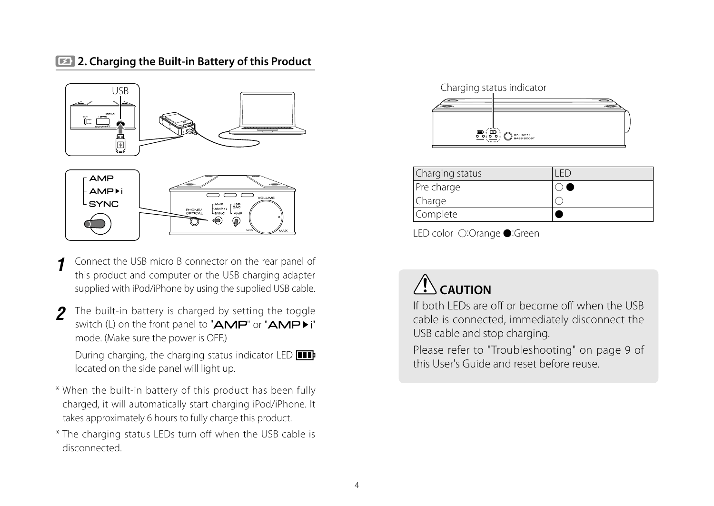## **2. Charging the Built-in Battery of this Product**



- Connect the USB micro B connector on the rear panel of this product and computer or the USB charging adapter supplied with iPod/iPhone by using the supplied USB cable. **1**
- The built-in battery is charged by setting the toggle switch (L) on the front panel to " $AMP$ " or " $AMP$ )" mode. (Make sure the power is OFF.) **2**

During charging, the charging status indicator LED **III** located on the side panel will light up.

- \* When the built-in battery of this product has been fully charged, it will automatically start charging iPod/iPhone. It takes approximately 6 hours to fully charge this product.
- \* The charging status LEDs turn off when the USB cable is disconnected.



| Complete        |  |
|-----------------|--|
| Charge          |  |
| Pre charge      |  |
| Charging status |  |

LED color ○:Orange ●:Green

## **CAUTION**

If both LEDs are off or become off when the USB cable is connected, immediately disconnect the USB cable and stop charging.

Please refer to "Troubleshooting" on page 9 of this User's Guide and reset before reuse.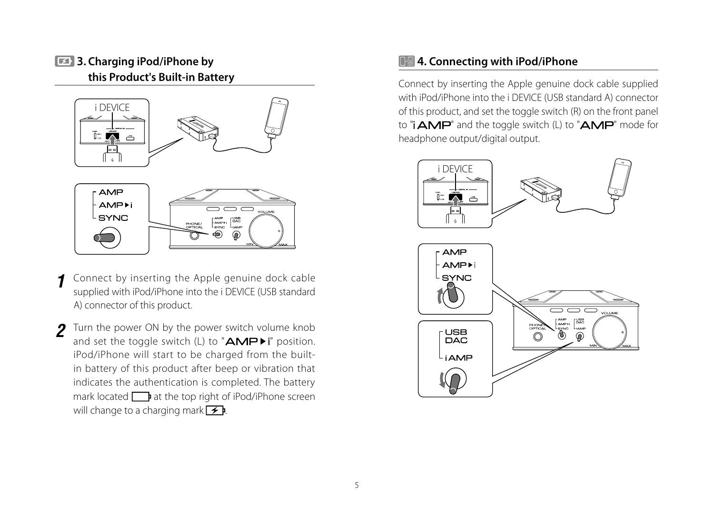## **3. Charging iPod/iPhone by this Product's Built-in Battery**



Connect by inserting the Apple genuine dock cable supplied with iPod/iPhone into the i DEVICE (USB standard A) connector of this product. **1**

Turn the power ON by the power switch volume knob and set the toggle switch (L) to " $AMP^{\dagger}$ " position. iPod/iPhone will start to be charged from the builtin battery of this product after beep or vibration that indicates the authentication is completed. The battery mark located  $\Box$  at the top right of iPod/iPhone screen will change to a charging mark  $\rightarrow$  **P**. **2**

## **4. Connecting with iPod/iPhone**

Connect by inserting the Apple genuine dock cable supplied with iPod/iPhone into the i DEVICE (USB standard A) connector of this product, and set the toggle switch (R) on the front panel to " $\mathsf{IMP}$ " and the toggle switch (L) to " $\mathsf{AMP}$ " mode for headphone output/digital output.

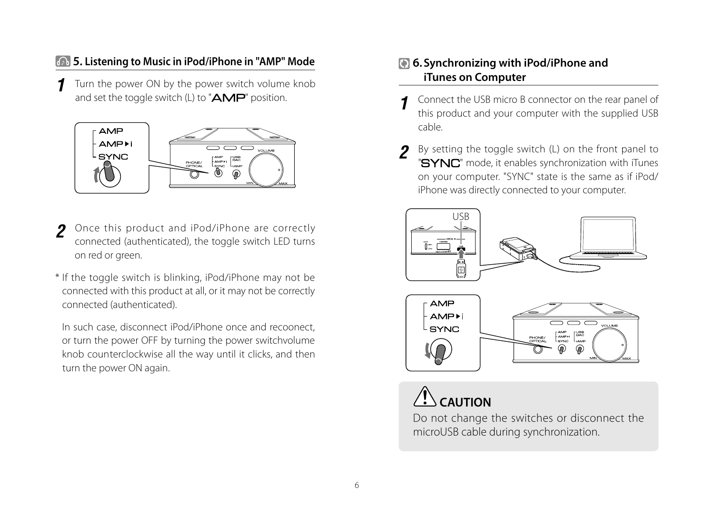## **5. Listening to Music in iPod/iPhone in "AMP" Mode**

Turn the power ON by the power switch volume knob and set the toggle switch (L) to " $\mathbf{A}\mathbf{MP}$ " position. **1**



- Once this product and iPod/iPhone are correctly connected (authenticated), the toggle switch LED turns on red or green. **2**
- \* If the toggle switch is blinking, iPod/iPhone may not be connected with this product at all, or it may not be correctly connected (authenticated).

In such case, disconnect iPod/iPhone once and recoonect, or turn the power OFF by turning the power switchvolume knob counterclockwise all the way until it clicks, and then turn the power ON again.

## **6.Synchronizing with iPod/iPhone and iTunes on Computer**

- Connect the USB micro B connector on the rear panel of this product and your computer with the supplied USB cable. **1**
- By setting the toggle switch (L) on the front panel to "SYNC" mode, it enables synchronization with iTunes on your computer. "SYNC" state is the same as if iPod/ iPhone was directly connected to your computer. **2**







Do not change the switches or disconnect the microUSB cable during synchronization.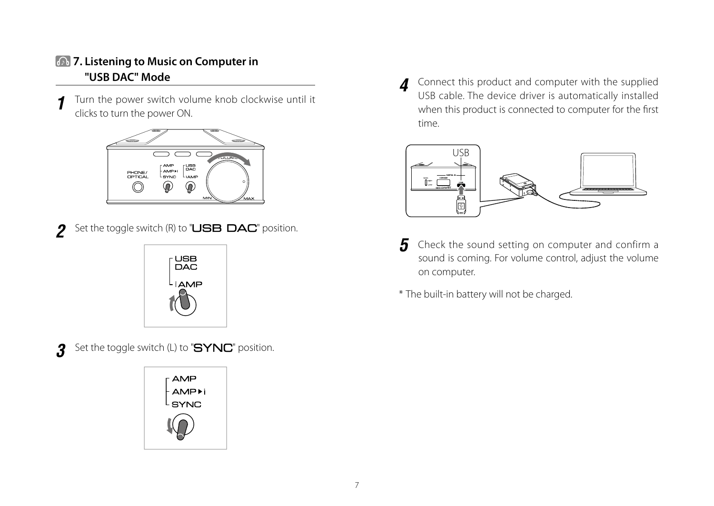## **7. Listening to Music on Computer in "USB DAC" Mode**

Turn the power switch volume knob clockwise until it clicks to turn the power ON. **1**



**2** Set the toggle switch (R) to "USB DAC" position.



**3** Set the toggle switch (L) to "**SYNC**" position.



Connect this product and computer with the supplied USB cable. The device driver is automatically installed when this product is connected to computer for the first time. **4**



- Check the sound setting on computer and confirm a sound is coming. For volume control, adjust the volume on computer. **5**
- \* The built-in battery will not be charged.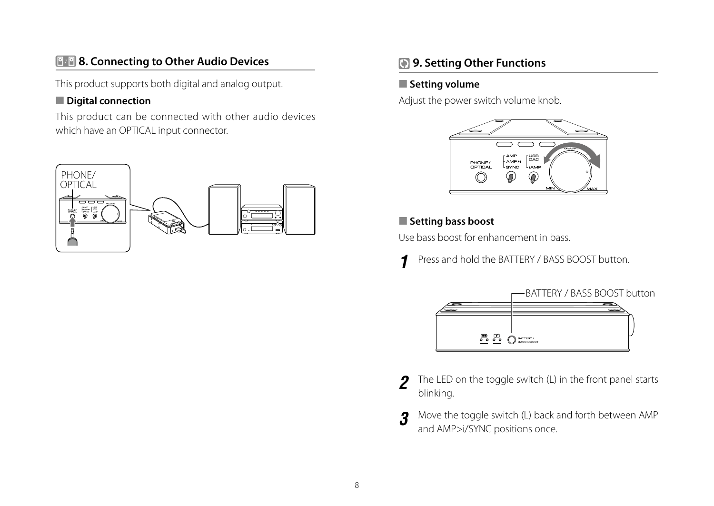## **8. Connecting to Other Audio Devices**

This product supports both digital and analog output.

#### ■ **Digital connection**

This product can be connected with other audio devices which have an OPTICAL input connector.



## **9. Setting Other Functions**

## ■ **Setting volume**

Adjust the power switch volume knob.



## ■ **Setting bass boost**

Use bass boost for enhancement in bass.

Press and hold the BATTERY / BASS BOOST button. **1**



- The LED on the toggle switch (L) in the front panel starts blinking. **2**
- Move the toggle switch (L) back and forth between AMP and AMP>i/SYNC positions once. **3**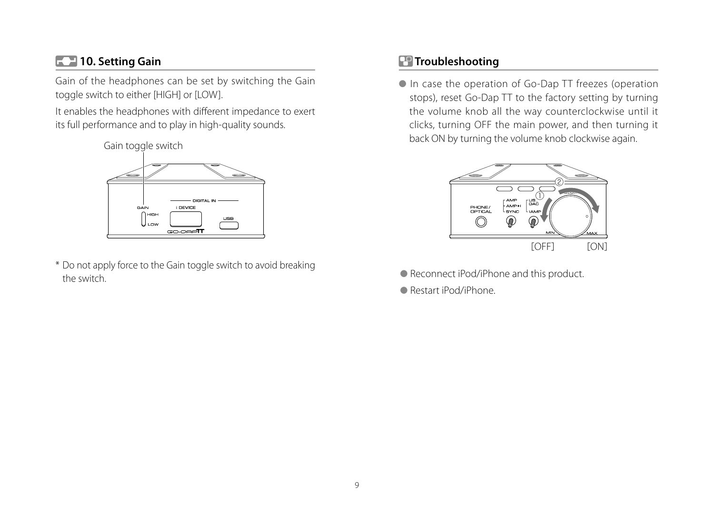## **10. Setting Gain**

Gain of the headphones can be set by switching the Gain toggle switch to either [HIGH] or [LOW].

It enables the headphones with different impedance to exert its full performance and to play in high-quality sounds.



\* Do not apply force to the Gain toggle switch to avoid breaking the switch.

## **Troubleshooting**

● In case the operation of Go-Dap TT freezes (operation stops), reset Go-Dap TT to the factory setting by turning the volume knob all the way counterclockwise until it clicks, turning OFF the main power, and then turning it back ON by turning the volume knob clockwise again.



- Reconnect iPod/iPhone and this product.
- Restart iPod/iPhone.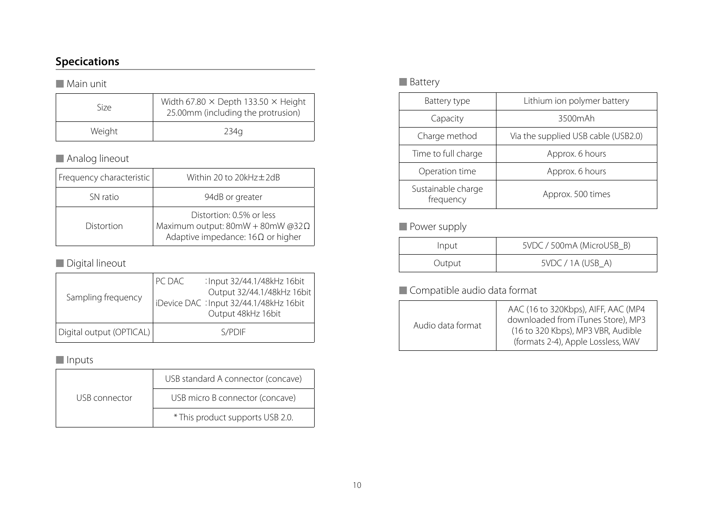## **Specications**

#### ■ Main unit

| Size   | Width 67.80 $\times$ Depth 133.50 $\times$ Height<br>25.00mm (including the protrusion) |
|--------|-----------------------------------------------------------------------------------------|
| Weight | 234a                                                                                    |

## ■ Analog lineout

| Frequency characteristic | Within 20 to 20kHz±2dB                                                                                   |
|--------------------------|----------------------------------------------------------------------------------------------------------|
| SN ratio                 | 94dB or greater                                                                                          |
| Distortion               | Distortion: 0.5% or less<br>Maximum output: 80mW + 80mW @32Ω<br>Adaptive impedance: $16\Omega$ or higher |

## ■ Digital lineout

| Sampling frequency       | PC DAC | : Input 32/44.1/48kHz 16bit<br>Output 32/44.1/48kHz 16bit<br>  iDevice DAC : Input 32/44.1/48kHz 16bit<br>Output 48kHz 16bit |
|--------------------------|--------|------------------------------------------------------------------------------------------------------------------------------|
|                          |        |                                                                                                                              |
| Digital output (OPTICAL) |        | S/PDIF                                                                                                                       |

### ■ Inputs

|               | USB standard A connector (concave) |  |
|---------------|------------------------------------|--|
| USB connector | USB micro B connector (concave)    |  |
|               | * This product supports USB 2.0.   |  |

### ■ Battery

| Battery type                    | Lithium ion polymer battery         |  |
|---------------------------------|-------------------------------------|--|
| Capacity                        | 3500mAh                             |  |
| Charge method                   | Via the supplied USB cable (USB2.0) |  |
| Time to full charge             | Approx. 6 hours                     |  |
| Operation time                  | Approx. 6 hours                     |  |
| Sustainable charge<br>frequency | Approx. 500 times                   |  |

## ■ Power supply

| Input  | 5VDC / 500mA (MicroUSB B) |  |
|--------|---------------------------|--|
| Output | 5VDC / 1A (USB A)         |  |

## ■ Compatible audio data format

| Audio data format | AAC (16 to 320Kbps), AIFF, AAC (MP4<br>downloaded from iTunes Store), MP3<br>(16 to 320 Kbps), MP3 VBR, Audible<br>(formats 2-4), Apple Lossless, WAV |
|-------------------|-------------------------------------------------------------------------------------------------------------------------------------------------------|
|-------------------|-------------------------------------------------------------------------------------------------------------------------------------------------------|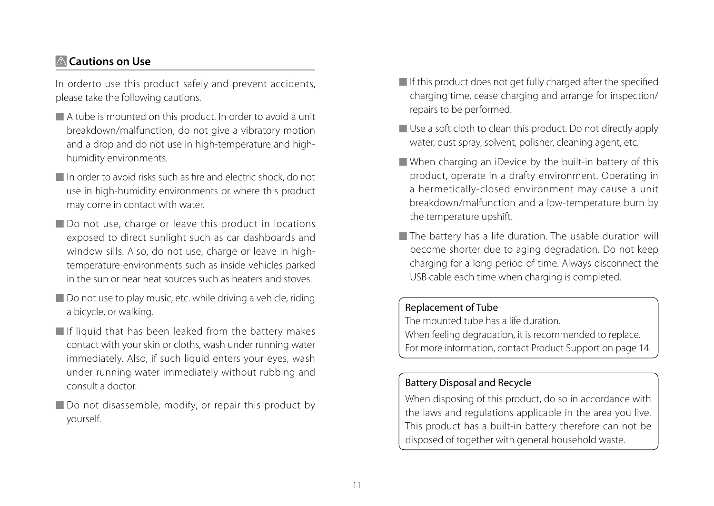## **Cautions on Use**

In orderto use this product safely and prevent accidents, please take the following cautions.

- A tube is mounted on this product. In order to avoid a unit breakdown/malfunction, do not give a vibratory motion and a drop and do not use in high-temperature and highhumidity environments.
- In order to avoid risks such as fire and electric shock, do not use in high-humidity environments or where this product may come in contact with water.
- Do not use, charge or leave this product in locations exposed to direct sunlight such as car dashboards and window sills. Also, do not use, charge or leave in hightemperature environments such as inside vehicles parked in the sun or near heat sources such as heaters and stoves.
- Do not use to play music, etc. while driving a vehicle, riding a bicycle, or walking.
- If liquid that has been leaked from the battery makes contact with your skin or cloths, wash under running water immediately. Also, if such liquid enters your eyes, wash under running water immediately without rubbing and consult a doctor.
- Do not disassemble, modify, or repair this product by yourself.
- If this product does not get fully charged after the specified charging time, cease charging and arrange for inspection/ repairs to be performed.
- Use a soft cloth to clean this product. Do not directly apply water, dust spray, solvent, polisher, cleaning agent, etc.
- When charging an iDevice by the built-in battery of this product, operate in a drafty environment. Operating in a hermetically-closed environment may cause a unit breakdown/malfunction and a low-temperature burn by the temperature upshift.
- The battery has a life duration. The usable duration will become shorter due to aging degradation. Do not keep charging for a long period of time. Always disconnect the USB cable each time when charging is completed.

#### Replacement of Tube

The mounted tube has a life duration. When feeling degradation, it is recommended to replace. For more information, contact Product Support on page 14.

## Battery Disposal and Recycle

When disposing of this product, do so in accordance with the laws and regulations applicable in the area you live. This product has a built-in battery therefore can not be disposed of together with general household waste.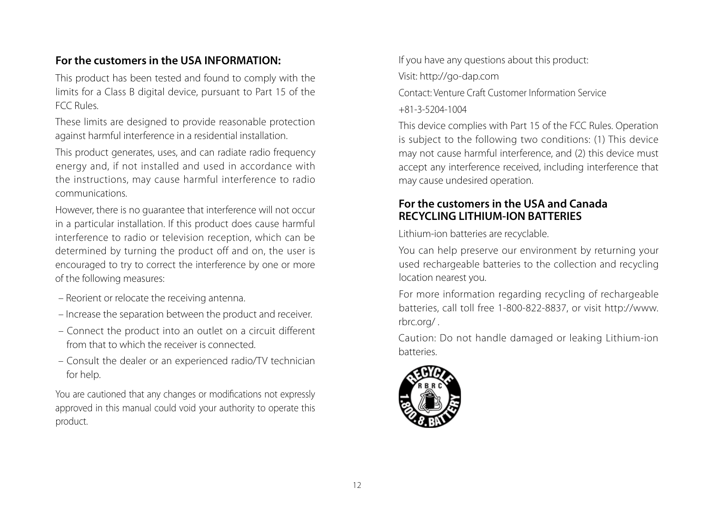## **For the customers in the USA INFORMATION:**

This product has been tested and found to comply with the limits for a Class B digital device, pursuant to Part 15 of the FCC Rules.

These limits are designed to provide reasonable protection against harmful interference in a residential installation.

This product generates, uses, and can radiate radio frequency energy and, if not installed and used in accordance with the instructions, may cause harmful interference to radio communications.

However, there is no guarantee that interference will not occur in a particular installation. If this product does cause harmful interference to radio or television reception, which can be determined by turning the product off and on, the user is encouraged to try to correct the interference by one or more of the following measures:

- Reorient or relocate the receiving antenna.
- Increase the separation between the product and receiver.
- Connect the product into an outlet on a circuit different from that to which the receiver is connected.
- Consult the dealer or an experienced radio/TV technician for help.

You are cautioned that any changes or modifications not expressly approved in this manual could void your authority to operate this product.

If you have any questions about this product:

Visit: http://go-dap.com

Contact: Venture Craft Customer Information Service +81-3-5204-1004

This device complies with Part 15 of the FCC Rules. Operation is subject to the following two conditions: (1) This device may not cause harmful interference, and (2) this device must accept any interference received, including interference that may cause undesired operation.

## **For the customers in the USA and Canada RECYCLING LITHIUM-ION BATTERIES**

Lithium-ion batteries are recyclable.

You can help preserve our environment by returning your used rechargeable batteries to the collection and recycling location nearest you.

For more information regarding recycling of rechargeable batteries, call toll free 1-800-822-8837, or visit http://www. rbrc.org/ .

Caution: Do not handle damaged or leaking Lithium-ion batteries.

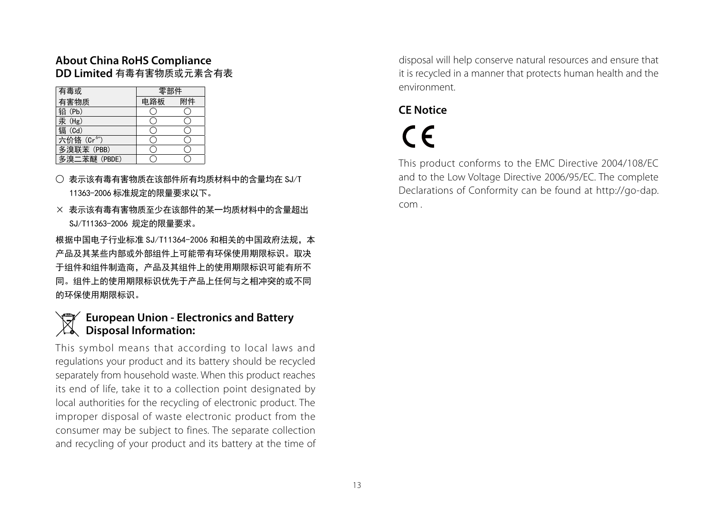#### **About China RoHS Compliance DD Limited** 有毒有害物质或元素含有表

| 有毒或                     | 零部件 |    |
|-------------------------|-----|----|
| 有害物质                    | 电路板 | 附件 |
| 铅 (Pb)                  |     |    |
| 汞 (Hg)                  |     |    |
| 镉 (Cd)                  |     |    |
| 六价铬 (Cr <sup>6+</sup> ) |     |    |
| 多溴联苯 (PBB)              |     |    |
| 多溴二苯醚 (PBDE)            |     |    |

- 表示该有毒有害物质在该部件所有均质材料中的含量均在 SJ/T 11363-2006 标准规定的限量要求以下。
- × 表示该有毒有害物质至少在该部件的某一均质材料中的含量超出 SJ/T11363-2006 规定的限量要求。

根据中国电子行业标准 SJ/T11364-2006 和相关的中国政府法规, 本 产品及其某些内部或外部组件上可能带有环保使用期限标识。取决 于组件和组件制造商,产品及其组件上的使用期限标识可能有所不 同。组件上的使用期限标识优先于产品上任何与之相冲突的或不同 的环保使用期限标识。

## **European Union - Electronics and Battery Disposal Information:**

This symbol means that according to local laws and regulations your product and its battery should be recycled separately from household waste. When this product reaches its end of life, take it to a collection point designated by local authorities for the recycling of electronic product. The improper disposal of waste electronic product from the consumer may be subject to fines. The separate collection and recycling of your product and its battery at the time of disposal will help conserve natural resources and ensure that it is recycled in a manner that protects human health and the environment.

## **CE Notice**

# $\epsilon$

This product conforms to the EMC Directive 2004/108/EC and to the Low Voltage Directive 2006/95/EC. The complete Declarations of Conformity can be found at http://go-dap. com .